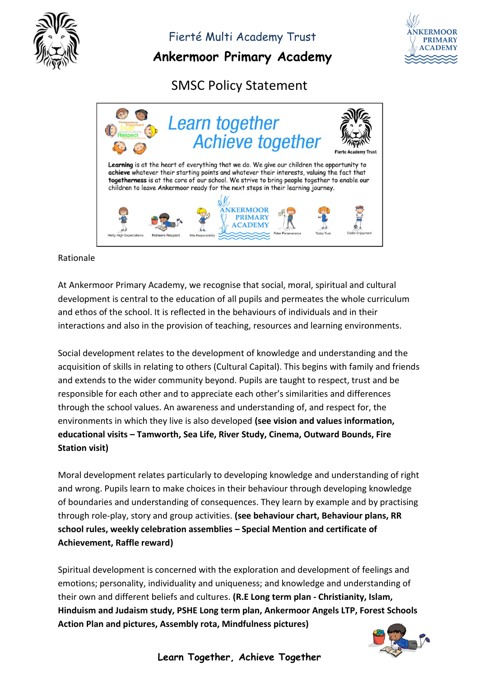

**Ankermoor Primary Academy**



SMSC Policy Statement



#### Rationale

At Ankermoor Primary Academy, we recognise that social, moral, spiritual and cultural development is central to the education of all pupils and permeates the whole curriculum and ethos of the school. It is reflected in the behaviours of individuals and in their interactions and also in the provision of teaching, resources and learning environments.

Social development relates to the development of knowledge and understanding and the acquisition of skills in relating to others (Cultural Capital). This begins with family and friends and extends to the wider community beyond. Pupils are taught to respect, trust and be responsible for each other and to appreciate each other's similarities and differences through the school values. An awareness and understanding of, and respect for, the environments in which they live is also developed **(see vision and values information, educational visits – Tamworth, Sea Life, River Study, Cinema, Outward Bounds, Fire Station visit)**

Moral development relates particularly to developing knowledge and understanding of right and wrong. Pupils learn to make choices in their behaviour through developing knowledge of boundaries and understanding of consequences. They learn by example and by practising through role-play, story and group activities. **(see behaviour chart, Behaviour plans, RR school rules, weekly celebration assemblies – Special Mention and certificate of Achievement, Raffle reward)**

Spiritual development is concerned with the exploration and development of feelings and emotions; personality, individuality and uniqueness; and knowledge and understanding of their own and different beliefs and cultures. **(R.E Long term plan - Christianity, Islam, Hinduism and Judaism study, PSHE Long term plan, Ankermoor Angels LTP, Forest Schools Action Plan and pictures, Assembly rota, Mindfulness pictures)**



**Learn Together, Achieve Together**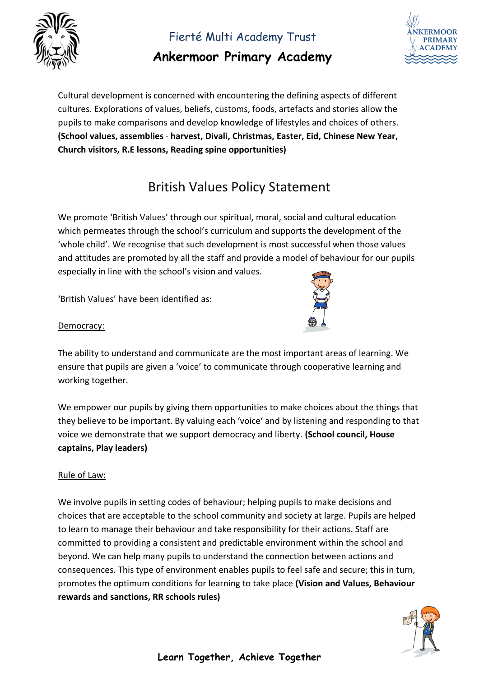

## **Ankermoor Primary Academy**



Cultural development is concerned with encountering the defining aspects of different cultures. Explorations of values, beliefs, customs, foods, artefacts and stories allow the pupils to make comparisons and develop knowledge of lifestyles and choices of others. **(School values, assemblies** - **harvest, Divali, Christmas, Easter, Eid, Chinese New Year, Church visitors, R.E lessons, Reading spine opportunities)**

# British Values Policy Statement

We promote 'British Values' through our spiritual, moral, social and cultural education which permeates through the school's curriculum and supports the development of the 'whole child'. We recognise that such development is most successful when those values and attitudes are promoted by all the staff and provide a model of behaviour for our pupils especially in line with the school's vision and values.

'British Values' have been identified as:



#### Democracy:

The ability to understand and communicate are the most important areas of learning. We ensure that pupils are given a 'voice' to communicate through cooperative learning and working together.

We empower our pupils by giving them opportunities to make choices about the things that they believe to be important. By valuing each 'voice' and by listening and responding to that voice we demonstrate that we support democracy and liberty. **(School council, House captains, Play leaders)**

#### Rule of Law:

We involve pupils in setting codes of behaviour; helping pupils to make decisions and choices that are acceptable to the school community and society at large. Pupils are helped to learn to manage their behaviour and take responsibility for their actions. Staff are committed to providing a consistent and predictable environment within the school and beyond. We can help many pupils to understand the connection between actions and consequences. This type of environment enables pupils to feel safe and secure; this in turn, promotes the optimum conditions for learning to take place **(Vision and Values, Behaviour rewards and sanctions, RR schools rules)**

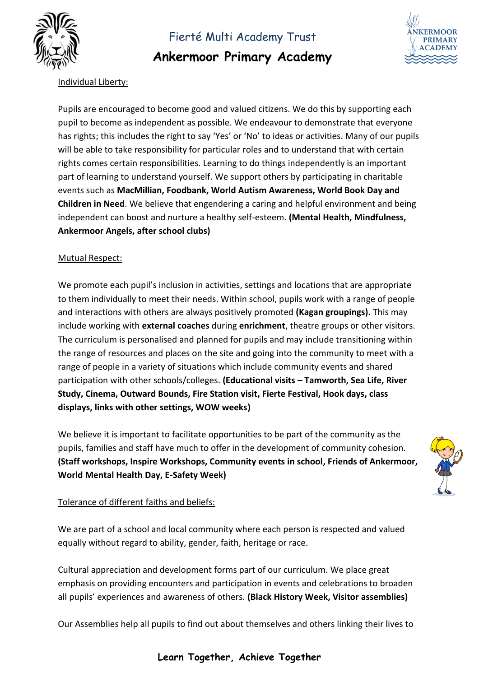

**Ankermoor Primary Academy**



### Individual Liberty:

Pupils are encouraged to become good and valued citizens. We do this by supporting each pupil to become as independent as possible. We endeavour to demonstrate that everyone has rights; this includes the right to say 'Yes' or 'No' to ideas or activities. Many of our pupils will be able to take responsibility for particular roles and to understand that with certain rights comes certain responsibilities. Learning to do things independently is an important part of learning to understand yourself. We support others by participating in charitable events such as **MacMillian, Foodbank, World Autism Awareness, World Book Day and Children in Need**. We believe that engendering a caring and helpful environment and being independent can boost and nurture a healthy self-esteem. **(Mental Health, Mindfulness, Ankermoor Angels, after school clubs)**

#### Mutual Respect:

We promote each pupil's inclusion in activities, settings and locations that are appropriate to them individually to meet their needs. Within school, pupils work with a range of people and interactions with others are always positively promoted **(Kagan groupings).** This may include working with **external coaches** during **enrichment**, theatre groups or other visitors. The curriculum is personalised and planned for pupils and may include transitioning within the range of resources and places on the site and going into the community to meet with a range of people in a variety of situations which include community events and shared participation with other schools/colleges. **(Educational visits – Tamworth, Sea Life, River Study, Cinema, Outward Bounds, Fire Station visit, Fierte Festival, Hook days, class displays, links with other settings, WOW weeks)**

We believe it is important to facilitate opportunities to be part of the community as the pupils, families and staff have much to offer in the development of community cohesion. **(Staff workshops, Inspire Workshops, Community events in school, Friends of Ankermoor, World Mental Health Day, E-Safety Week)**



#### Tolerance of different faiths and beliefs:

We are part of a school and local community where each person is respected and valued equally without regard to ability, gender, faith, heritage or race.

Cultural appreciation and development forms part of our curriculum. We place great emphasis on providing encounters and participation in events and celebrations to broaden all pupils' experiences and awareness of others. **(Black History Week, Visitor assemblies)**

Our Assemblies help all pupils to find out about themselves and others linking their lives to

#### **Learn Together, Achieve Together**